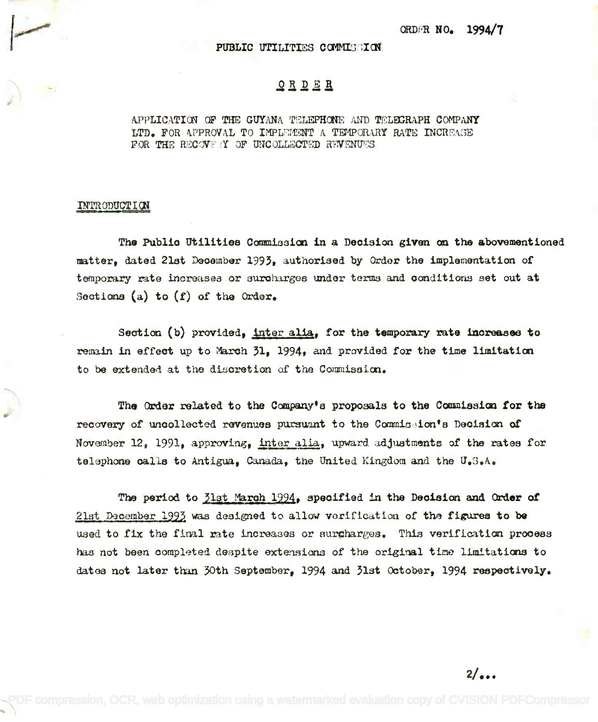ORDFR NO.

PUBLIC UTILITIES COMMISSION

## ORDER

APPLICATION OF THE GUYANA TELEPHONE AND TELEGRAPH COMPANY LTD. FOR APPROVAL TO IMPU©11ENT A TEMPORARY RATE INCREASE FOR THE RECOVICY OF UNCOLLECTED REVENUES

## INTRODUCTION

{~

The Public Utilities Commission in a Decision given on the abovementioned matter, dated 21st December 1993, authorised by Order the implementation of temporary rate increases or suroharges under terms and conditions set out at Sections (a) to (f) of the Order. Seotions (a) to *(t)* of the Order.

Section (b) provided, inter alia, for the temporary rate increases to remain in effect up to March 31, 1994, and provided for the time limitation to be extended at the disoretion of the Commission.

The Order related to the Company's proposals to the Commission for the recovery of uncollected revenues pursuant to the Commission's Decision of November 12, 1991, approving, inter alia, upward adjustments of the rates for telephone calls to Antigua, Canada, the United Kingdom and the U.S.A. telephone calls to Antigua, Canada, the United Kingdomand the U.S.A.

The period to 31st March 1994, specified in the Decision and Order of  $21$ st December 1993 was designed to allow verification of the figures to be used to fix the final rate increases or surgharges. This verification process has not been completed despite extensions of the original time limitations to dates not later than 30th September, 1994 and 31st October, 1994 respectively. dates not later than 30th September, 1994 and 31st october, 1994 reapeotlve1Ye